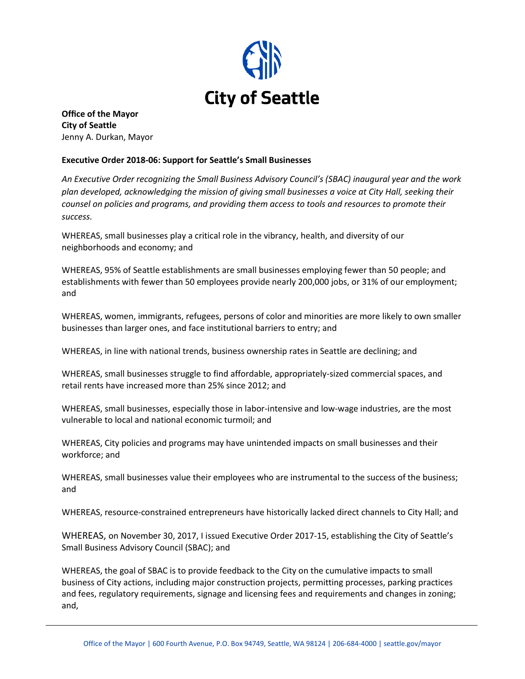

**Office of the Mayor City of Seattle** Jenny A. Durkan, Mayor

## **Executive Order 2018-06: Support for Seattle's Small Businesses**

*An Executive Order recognizing the Small Business Advisory Council's (SBAC) inaugural year and the work plan developed, acknowledging the mission of giving small businesses a voice at City Hall, seeking their counsel on policies and programs, and providing them access to tools and resources to promote their success.* 

WHEREAS, small businesses play a critical role in the vibrancy, health, and diversity of our neighborhoods and economy; and

WHEREAS, 95% of Seattle establishments are small businesses employing fewer than 50 people; and establishments with fewer than 50 employees provide nearly 200,000 jobs, or 31% of our employment; and

WHEREAS, women, immigrants, refugees, persons of color and minorities are more likely to own smaller businesses than larger ones, and face institutional barriers to entry; and

WHEREAS, in line with national trends, business ownership rates in Seattle are declining; and

WHEREAS, small businesses struggle to find affordable, appropriately-sized commercial spaces, and retail rents have increased more than 25% since 2012; and

WHEREAS, small businesses, especially those in labor-intensive and low-wage industries, are the most vulnerable to local and national economic turmoil; and

WHEREAS, City policies and programs may have unintended impacts on small businesses and their workforce; and

WHEREAS, small businesses value their employees who are instrumental to the success of the business; and

WHEREAS, resource-constrained entrepreneurs have historically lacked direct channels to City Hall; and

WHEREAS, on November 30, 2017, I issued Executive Order 2017-15, establishing the City of Seattle's Small Business Advisory Council (SBAC); and

WHEREAS, the goal of SBAC is to provide feedback to the City on the cumulative impacts to small business of City actions, including major construction projects, permitting processes, parking practices and fees, regulatory requirements, signage and licensing fees and requirements and changes in zoning; and,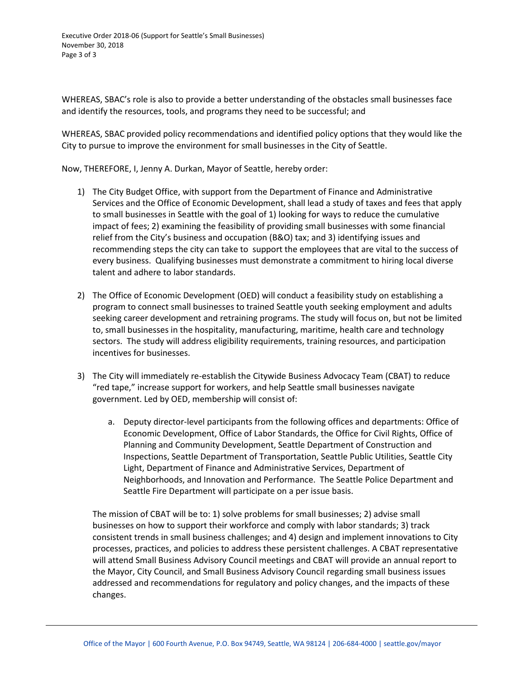WHEREAS, SBAC's role is also to provide a better understanding of the obstacles small businesses face and identify the resources, tools, and programs they need to be successful; and

WHEREAS, SBAC provided policy recommendations and identified policy options that they would like the City to pursue to improve the environment for small businesses in the City of Seattle.

Now, THEREFORE, I, Jenny A. Durkan, Mayor of Seattle, hereby order:

- 1) The City Budget Office, with support from the Department of Finance and Administrative Services and the Office of Economic Development, shall lead a study of taxes and fees that apply to small businesses in Seattle with the goal of 1) looking for ways to reduce the cumulative impact of fees; 2) examining the feasibility of providing small businesses with some financial relief from the City's business and occupation (B&O) tax; and 3) identifying issues and recommending steps the city can take to support the employees that are vital to the success of every business. Qualifying businesses must demonstrate a commitment to hiring local diverse talent and adhere to labor standards.
- 2) The Office of Economic Development (OED) will conduct a feasibility study on establishing a program to connect small businesses to trained Seattle youth seeking employment and adults seeking career development and retraining programs. The study will focus on, but not be limited to, small businesses in the hospitality, manufacturing, maritime, health care and technology sectors. The study will address eligibility requirements, training resources, and participation incentives for businesses.
- 3) The City will immediately re-establish the Citywide Business Advocacy Team (CBAT) to reduce "red tape," increase support for workers, and help Seattle small businesses navigate government. Led by OED, membership will consist of:
	- a. Deputy director-level participants from the following offices and departments: Office of Economic Development, Office of Labor Standards, the Office for Civil Rights, Office of Planning and Community Development, Seattle Department of Construction and Inspections, Seattle Department of Transportation, Seattle Public Utilities, Seattle City Light, Department of Finance and Administrative Services, Department of Neighborhoods, and Innovation and Performance. The Seattle Police Department and Seattle Fire Department will participate on a per issue basis.

The mission of CBAT will be to: 1) solve problems for small businesses; 2) advise small businesses on how to support their workforce and comply with labor standards; 3) track consistent trends in small business challenges; and 4) design and implement innovations to City processes, practices, and policies to address these persistent challenges. A CBAT representative will attend Small Business Advisory Council meetings and CBAT will provide an annual report to the Mayor, City Council, and Small Business Advisory Council regarding small business issues addressed and recommendations for regulatory and policy changes, and the impacts of these changes.